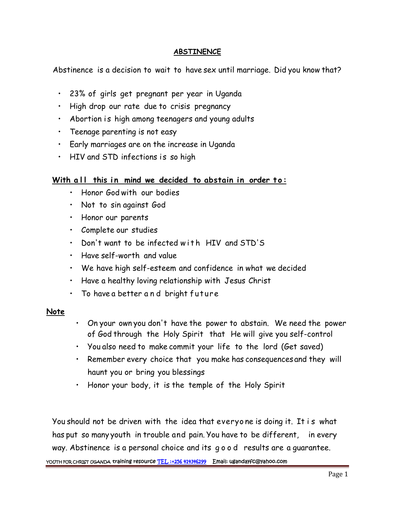## **ABSTINENCE**

Abstinence is a decision to wait to have sex until marriage. Did you know that?

- 23% of girls get pregnant per year in Uganda
- High drop our rate due to crisis pregnancy
- Abortion is high among teenagers and young adults
- Teenage parenting is not easy
- Early marriages are on the increase in Uganda
- HIV and STD infections is so high

## **With all this in mind we decided to abstain in order to:**<br>• Hall this in mind we decided to abstain in order to:<br>• Honor God with our bodies

- Honor God with our bodies
- Not to sin against God
- Honor our parents
- Complete our studies
- Don't want to be infected with HIV and STD'S
- Have self-worth and value
- We have high self-esteem and confidence in what we decided • Have self-worth and value<br>• We have high self-esteem and confidence in u<br>• Have a healthy loving relationship with Jesus<br>• To have a better a n d bright future
- Have a healthy loving relationship with Jesus Christ
- 

## **Note**

- On your own you don't have the power to abstain. We need the power of God through the Holy Spirit that He will give you self-control
- You also need to make commit your life to the lord (Get saved)
- Remember every choice that you make has consequences and they will haunt you or bring you blessings
- Honor your body, it is the temple of the Holy Spirit

You should not be driven with the idea that everyone is doing it. It is what<br>You should not be driven with the idea that everyone is doing it. It is what<br>has put so manyyouth in trouble and pain. You have to be different, has put so many youth in trouble and pain.You have to be different, in every You should not be driven with the idea that everyone is doing it. It is whow thas put so manyyouth in trouble and pain. You have to be different, in ever<br>way. Abstinence is a personal choice and its g o o d results are a g